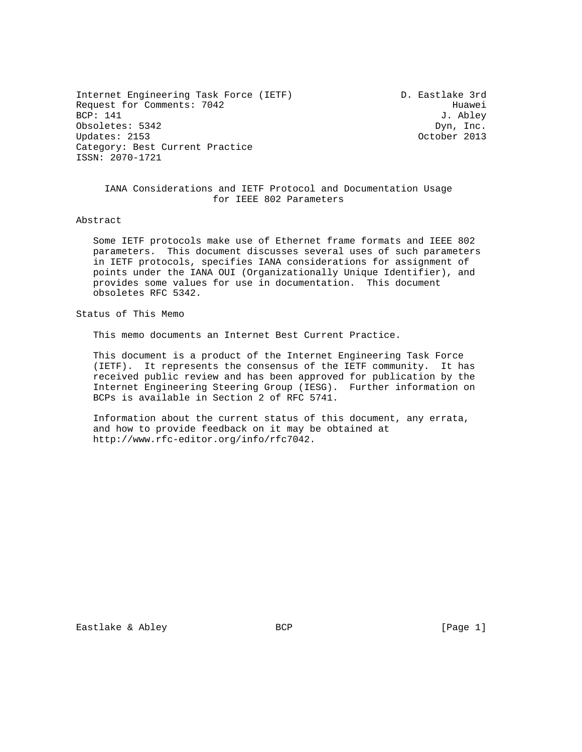Internet Engineering Task Force (IETF) D. Eastlake 3rd Request for Comments: 7042 Huawei<br>BCP: 141 J. Abley Obsoletes: 5342 Dyn, Inc.<br>
Updates: 2153 Dynesses Decober 2013 Updates: 2153 Category: Best Current Practice ISSN: 2070-1721

J. Abley

 IANA Considerations and IETF Protocol and Documentation Usage for IEEE 802 Parameters

Abstract

 Some IETF protocols make use of Ethernet frame formats and IEEE 802 parameters. This document discusses several uses of such parameters in IETF protocols, specifies IANA considerations for assignment of points under the IANA OUI (Organizationally Unique Identifier), and provides some values for use in documentation. This document obsoletes RFC 5342.

Status of This Memo

This memo documents an Internet Best Current Practice.

 This document is a product of the Internet Engineering Task Force (IETF). It represents the consensus of the IETF community. It has received public review and has been approved for publication by the Internet Engineering Steering Group (IESG). Further information on BCPs is available in Section 2 of RFC 5741.

 Information about the current status of this document, any errata, and how to provide feedback on it may be obtained at http://www.rfc-editor.org/info/rfc7042.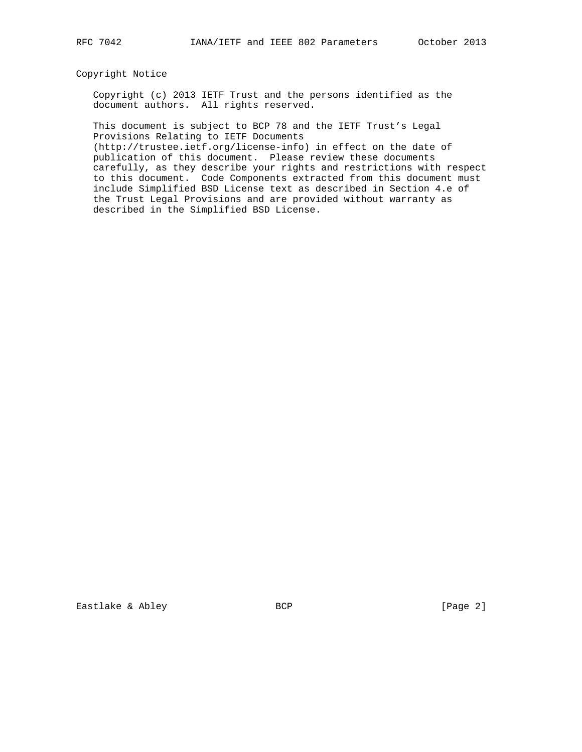## Copyright Notice

 Copyright (c) 2013 IETF Trust and the persons identified as the document authors. All rights reserved.

 This document is subject to BCP 78 and the IETF Trust's Legal Provisions Relating to IETF Documents

 (http://trustee.ietf.org/license-info) in effect on the date of publication of this document. Please review these documents carefully, as they describe your rights and restrictions with respect to this document. Code Components extracted from this document must include Simplified BSD License text as described in Section 4.e of the Trust Legal Provisions and are provided without warranty as described in the Simplified BSD License.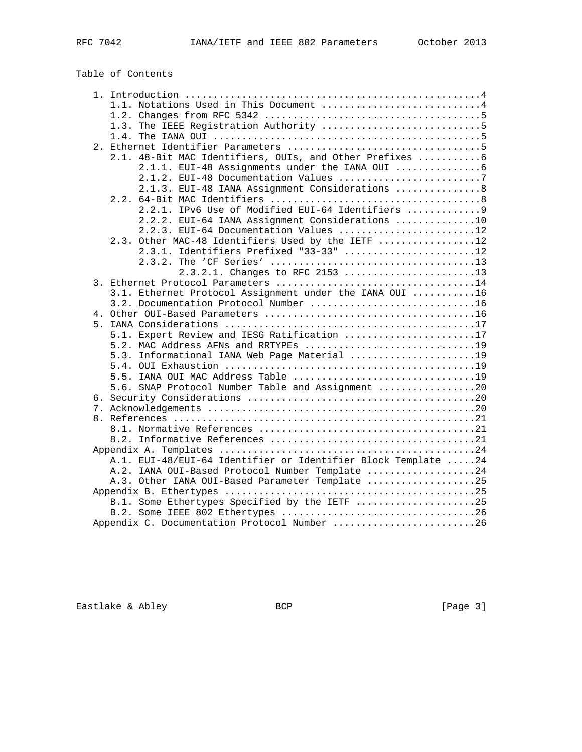# Table of Contents

|  | 1.1. Notations Used in This Document 4                        |  |
|--|---------------------------------------------------------------|--|
|  |                                                               |  |
|  |                                                               |  |
|  |                                                               |  |
|  |                                                               |  |
|  | 2.1. 48-Bit MAC Identifiers, OUIs, and Other Prefixes  6      |  |
|  | 2.1.1. EUI-48 Assignments under the IANA OUI  6               |  |
|  | 2.1.2. EUI-48 Documentation Values 7                          |  |
|  | 2.1.3. EUI-48 IANA Assignment Considerations  8               |  |
|  |                                                               |  |
|  | 2.2.1. IPv6 Use of Modified EUI-64 Identifiers  9             |  |
|  | 2.2.2. EUI-64 IANA Assignment Considerations 10               |  |
|  | 2.2.3. EUI-64 Documentation Values 12                         |  |
|  | 2.3. Other MAC-48 Identifiers Used by the IETF 12             |  |
|  | 2.3.1. Identifiers Prefixed "33-33" 12                        |  |
|  |                                                               |  |
|  | 2.3.2.1. Changes to RFC 2153 13                               |  |
|  |                                                               |  |
|  | 3.1. Ethernet Protocol Assignment under the IANA OUI 16       |  |
|  | 3.2. Documentation Protocol Number 16                         |  |
|  |                                                               |  |
|  |                                                               |  |
|  | 5.1. Expert Review and IESG Ratification 17                   |  |
|  | 5.2. MAC Address AFNs and RRTYPEs 19                          |  |
|  | 5.3. Informational IANA Web Page Material 19                  |  |
|  |                                                               |  |
|  |                                                               |  |
|  | 5.6. SNAP Protocol Number Table and Assignment 20             |  |
|  |                                                               |  |
|  |                                                               |  |
|  |                                                               |  |
|  |                                                               |  |
|  |                                                               |  |
|  |                                                               |  |
|  | A.1. EUI-48/EUI-64 Identifier or Identifier Block Template 24 |  |
|  | A.2. IANA OUI-Based Protocol Number Template 24               |  |
|  | A.3. Other IANA OUI-Based Parameter Template 25               |  |
|  |                                                               |  |
|  | B.1. Some Ethertypes Specified by the IETF 25                 |  |
|  |                                                               |  |
|  | Appendix C. Documentation Protocol Number 26                  |  |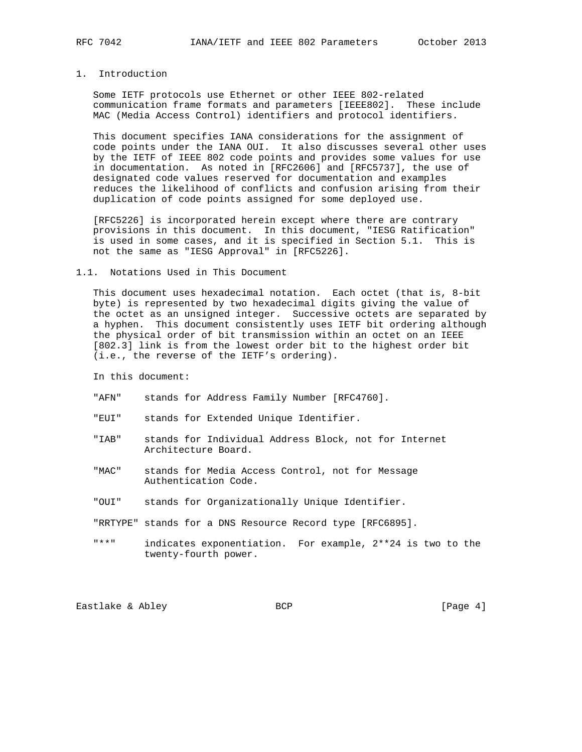## 1. Introduction

 Some IETF protocols use Ethernet or other IEEE 802-related communication frame formats and parameters [IEEE802]. These include MAC (Media Access Control) identifiers and protocol identifiers.

 This document specifies IANA considerations for the assignment of code points under the IANA OUI. It also discusses several other uses by the IETF of IEEE 802 code points and provides some values for use in documentation. As noted in [RFC2606] and [RFC5737], the use of designated code values reserved for documentation and examples reduces the likelihood of conflicts and confusion arising from their duplication of code points assigned for some deployed use.

 [RFC5226] is incorporated herein except where there are contrary provisions in this document. In this document, "IESG Ratification" is used in some cases, and it is specified in Section 5.1. This is not the same as "IESG Approval" in [RFC5226].

#### 1.1. Notations Used in This Document

 This document uses hexadecimal notation. Each octet (that is, 8-bit byte) is represented by two hexadecimal digits giving the value of the octet as an unsigned integer. Successive octets are separated by a hyphen. This document consistently uses IETF bit ordering although the physical order of bit transmission within an octet on an IEEE [802.3] link is from the lowest order bit to the highest order bit (i.e., the reverse of the IETF's ordering).

In this document:

- "AFN" stands for Address Family Number [RFC4760].
- "EUI" stands for Extended Unique Identifier.
- "IAB" stands for Individual Address Block, not for Internet Architecture Board.
- "MAC" stands for Media Access Control, not for Message Authentication Code.
- "OUI" stands for Organizationally Unique Identifier.
- "RRTYPE" stands for a DNS Resource Record type [RFC6895].
- "\*\*" indicates exponentiation. For example, 2\*\*24 is two to the twenty-fourth power.

Eastlake & Abley BCP BCP [Page 4]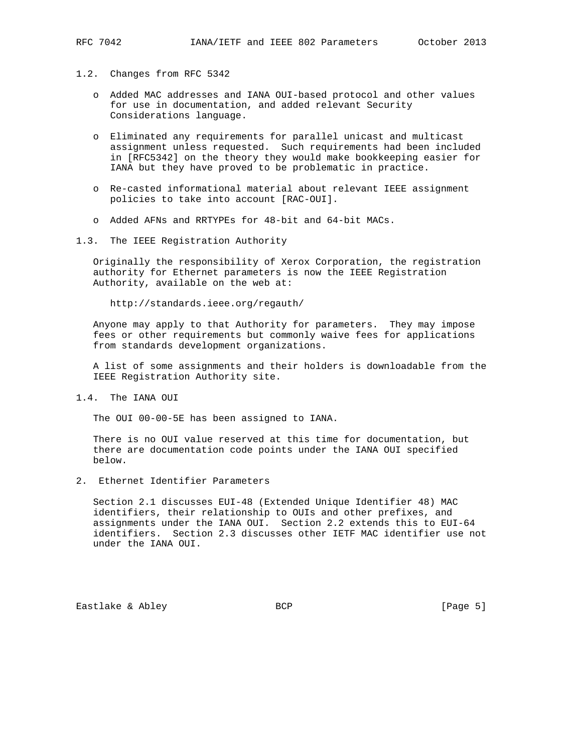- 1.2. Changes from RFC 5342
	- o Added MAC addresses and IANA OUI-based protocol and other values for use in documentation, and added relevant Security Considerations language.
	- o Eliminated any requirements for parallel unicast and multicast assignment unless requested. Such requirements had been included in [RFC5342] on the theory they would make bookkeeping easier for IANA but they have proved to be problematic in practice.
	- o Re-casted informational material about relevant IEEE assignment policies to take into account [RAC-OUI].
	- o Added AFNs and RRTYPEs for 48-bit and 64-bit MACs.
- 1.3. The IEEE Registration Authority

 Originally the responsibility of Xerox Corporation, the registration authority for Ethernet parameters is now the IEEE Registration Authority, available on the web at:

http://standards.ieee.org/regauth/

 Anyone may apply to that Authority for parameters. They may impose fees or other requirements but commonly waive fees for applications from standards development organizations.

 A list of some assignments and their holders is downloadable from the IEEE Registration Authority site.

1.4. The IANA OUI

The OUI 00-00-5E has been assigned to IANA.

 There is no OUI value reserved at this time for documentation, but there are documentation code points under the IANA OUI specified below.

2. Ethernet Identifier Parameters

 Section 2.1 discusses EUI-48 (Extended Unique Identifier 48) MAC identifiers, their relationship to OUIs and other prefixes, and assignments under the IANA OUI. Section 2.2 extends this to EUI-64 identifiers. Section 2.3 discusses other IETF MAC identifier use not under the IANA OUI.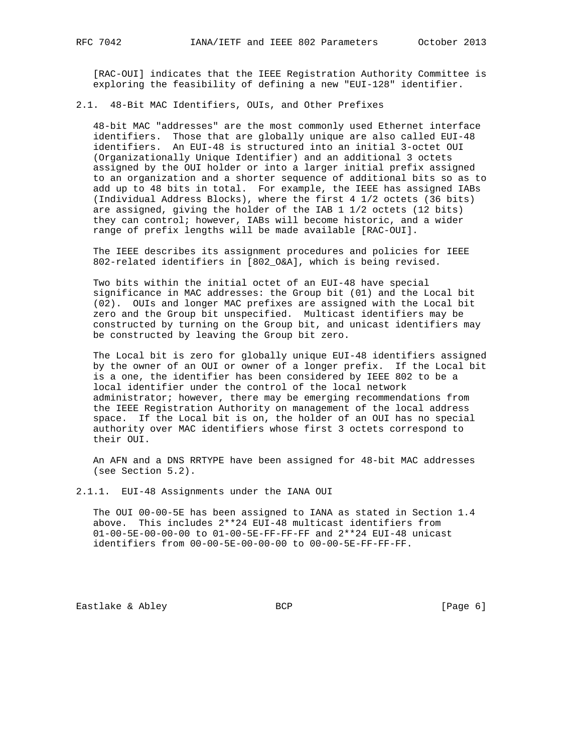[RAC-OUI] indicates that the IEEE Registration Authority Committee is exploring the feasibility of defining a new "EUI-128" identifier.

#### 2.1. 48-Bit MAC Identifiers, OUIs, and Other Prefixes

 48-bit MAC "addresses" are the most commonly used Ethernet interface identifiers. Those that are globally unique are also called EUI-48 identifiers. An EUI-48 is structured into an initial 3-octet OUI (Organizationally Unique Identifier) and an additional 3 octets assigned by the OUI holder or into a larger initial prefix assigned to an organization and a shorter sequence of additional bits so as to add up to 48 bits in total. For example, the IEEE has assigned IABs (Individual Address Blocks), where the first 4 1/2 octets (36 bits) are assigned, giving the holder of the IAB 1 1/2 octets (12 bits) they can control; however, IABs will become historic, and a wider range of prefix lengths will be made available [RAC-OUI].

 The IEEE describes its assignment procedures and policies for IEEE 802-related identifiers in [802\_O&A], which is being revised.

 Two bits within the initial octet of an EUI-48 have special significance in MAC addresses: the Group bit (01) and the Local bit (02). OUIs and longer MAC prefixes are assigned with the Local bit zero and the Group bit unspecified. Multicast identifiers may be constructed by turning on the Group bit, and unicast identifiers may be constructed by leaving the Group bit zero.

 The Local bit is zero for globally unique EUI-48 identifiers assigned by the owner of an OUI or owner of a longer prefix. If the Local bit is a one, the identifier has been considered by IEEE 802 to be a local identifier under the control of the local network administrator; however, there may be emerging recommendations from the IEEE Registration Authority on management of the local address space. If the Local bit is on, the holder of an OUI has no special authority over MAC identifiers whose first 3 octets correspond to their OUI.

 An AFN and a DNS RRTYPE have been assigned for 48-bit MAC addresses (see Section 5.2).

2.1.1. EUI-48 Assignments under the IANA OUI

 The OUI 00-00-5E has been assigned to IANA as stated in Section 1.4 above. This includes 2\*\*24 EUI-48 multicast identifiers from 01-00-5E-00-00-00 to 01-00-5E-FF-FF-FF and 2\*\*24 EUI-48 unicast identifiers from 00-00-5E-00-00-00 to 00-00-5E-FF-FF-FF.

Eastlake & Abley BCP BCP [Page 6]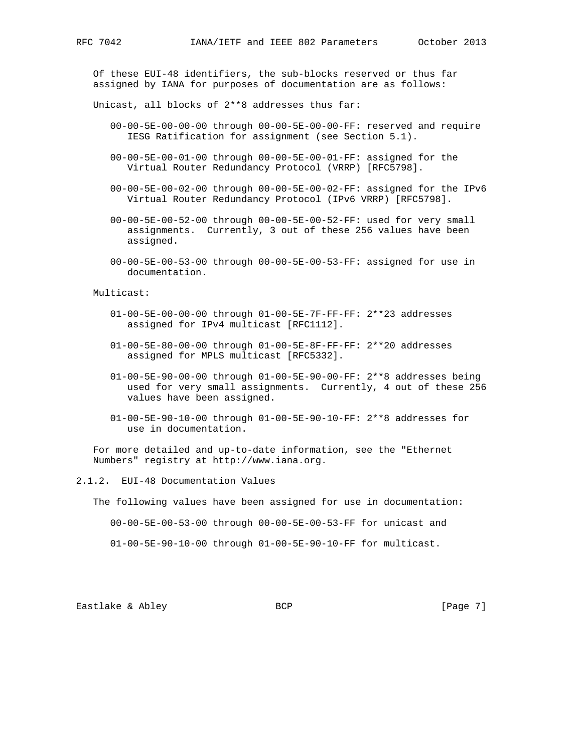Of these EUI-48 identifiers, the sub-blocks reserved or thus far assigned by IANA for purposes of documentation are as follows:

Unicast, all blocks of 2\*\*8 addresses thus far:

- 00-00-5E-00-00-00 through 00-00-5E-00-00-FF: reserved and require IESG Ratification for assignment (see Section 5.1).
- 00-00-5E-00-01-00 through 00-00-5E-00-01-FF: assigned for the Virtual Router Redundancy Protocol (VRRP) [RFC5798].
- 00-00-5E-00-02-00 through 00-00-5E-00-02-FF: assigned for the IPv6 Virtual Router Redundancy Protocol (IPv6 VRRP) [RFC5798].
- 00-00-5E-00-52-00 through 00-00-5E-00-52-FF: used for very small assignments. Currently, 3 out of these 256 values have been assigned.
- 00-00-5E-00-53-00 through 00-00-5E-00-53-FF: assigned for use in documentation.

Multicast:

- 01-00-5E-00-00-00 through 01-00-5E-7F-FF-FF: 2\*\*23 addresses assigned for IPv4 multicast [RFC1112].
- 01-00-5E-80-00-00 through 01-00-5E-8F-FF-FF: 2\*\*20 addresses assigned for MPLS multicast [RFC5332].
- 01-00-5E-90-00-00 through 01-00-5E-90-00-FF: 2\*\*8 addresses being used for very small assignments. Currently, 4 out of these 256 values have been assigned.
- 01-00-5E-90-10-00 through 01-00-5E-90-10-FF: 2\*\*8 addresses for use in documentation.

 For more detailed and up-to-date information, see the "Ethernet Numbers" registry at http://www.iana.org.

2.1.2. EUI-48 Documentation Values

The following values have been assigned for use in documentation:

00-00-5E-00-53-00 through 00-00-5E-00-53-FF for unicast and

01-00-5E-90-10-00 through 01-00-5E-90-10-FF for multicast.

Eastlake & Abley BCP BCP [Page 7]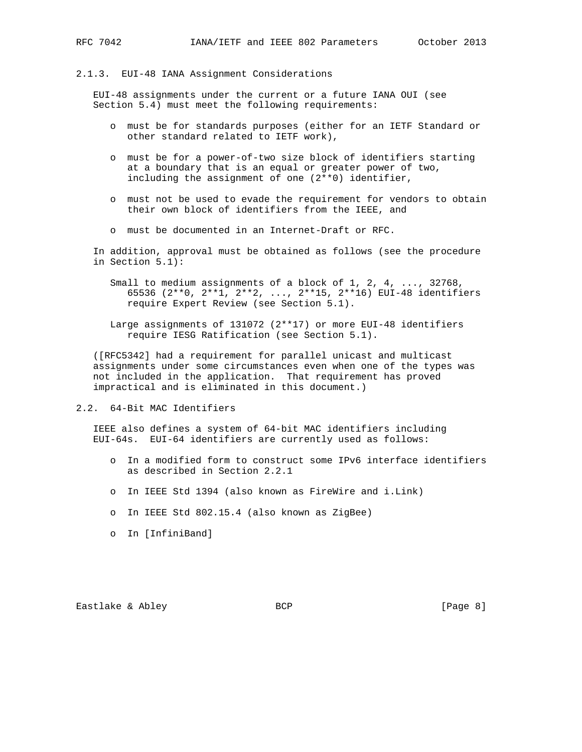#### 2.1.3. EUI-48 IANA Assignment Considerations

 EUI-48 assignments under the current or a future IANA OUI (see Section 5.4) must meet the following requirements:

- o must be for standards purposes (either for an IETF Standard or other standard related to IETF work),
- o must be for a power-of-two size block of identifiers starting at a boundary that is an equal or greater power of two, including the assignment of one (2\*\*0) identifier,
- o must not be used to evade the requirement for vendors to obtain their own block of identifiers from the IEEE, and
- o must be documented in an Internet-Draft or RFC.

 In addition, approval must be obtained as follows (see the procedure in Section 5.1):

- Small to medium assignments of a block of 1, 2, 4, ..., 32768, 65536 (2\*\*0, 2\*\*1, 2\*\*2, ..., 2\*\*15, 2\*\*16) EUI-48 identifiers require Expert Review (see Section 5.1).
- Large assignments of 131072 (2\*\*17) or more EUI-48 identifiers require IESG Ratification (see Section 5.1).

 ([RFC5342] had a requirement for parallel unicast and multicast assignments under some circumstances even when one of the types was not included in the application. That requirement has proved impractical and is eliminated in this document.)

2.2. 64-Bit MAC Identifiers

 IEEE also defines a system of 64-bit MAC identifiers including EUI-64s. EUI-64 identifiers are currently used as follows:

- o In a modified form to construct some IPv6 interface identifiers as described in Section 2.2.1
- o In IEEE Std 1394 (also known as FireWire and i.Link)
- o In IEEE Std 802.15.4 (also known as ZigBee)
- o In [InfiniBand]

Eastlake & Abley BCP BCP [Page 8]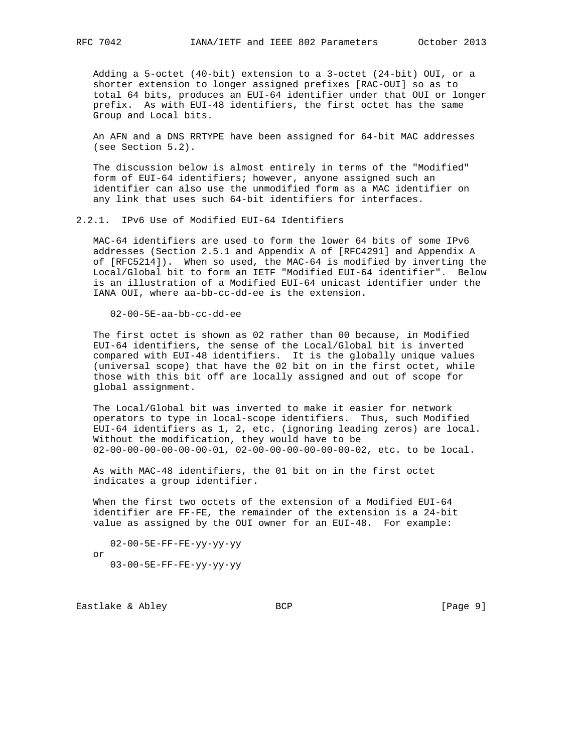Adding a 5-octet (40-bit) extension to a 3-octet (24-bit) OUI, or a shorter extension to longer assigned prefixes [RAC-OUI] so as to total 64 bits, produces an EUI-64 identifier under that OUI or longer prefix. As with EUI-48 identifiers, the first octet has the same Group and Local bits.

 An AFN and a DNS RRTYPE have been assigned for 64-bit MAC addresses (see Section 5.2).

 The discussion below is almost entirely in terms of the "Modified" form of EUI-64 identifiers; however, anyone assigned such an identifier can also use the unmodified form as a MAC identifier on any link that uses such 64-bit identifiers for interfaces.

2.2.1. IPv6 Use of Modified EUI-64 Identifiers

 MAC-64 identifiers are used to form the lower 64 bits of some IPv6 addresses (Section 2.5.1 and Appendix A of [RFC4291] and Appendix A of [RFC5214]). When so used, the MAC-64 is modified by inverting the Local/Global bit to form an IETF "Modified EUI-64 identifier". Below is an illustration of a Modified EUI-64 unicast identifier under the IANA OUI, where aa-bb-cc-dd-ee is the extension.

02-00-5E-aa-bb-cc-dd-ee

 The first octet is shown as 02 rather than 00 because, in Modified EUI-64 identifiers, the sense of the Local/Global bit is inverted compared with EUI-48 identifiers. It is the globally unique values (universal scope) that have the 02 bit on in the first octet, while those with this bit off are locally assigned and out of scope for global assignment.

 The Local/Global bit was inverted to make it easier for network operators to type in local-scope identifiers. Thus, such Modified EUI-64 identifiers as 1, 2, etc. (ignoring leading zeros) are local. Without the modification, they would have to be 02-00-00-00-00-00-00-01, 02-00-00-00-00-00-00-02, etc. to be local.

 As with MAC-48 identifiers, the 01 bit on in the first octet indicates a group identifier.

 When the first two octets of the extension of a Modified EUI-64 identifier are FF-FE, the remainder of the extension is a 24-bit value as assigned by the OUI owner for an EUI-48. For example:

 02-00-5E-FF-FE-yy-yy-yy or 03-00-5E-FF-FE-yy-yy-yy

Eastlake & Abley BCP BCP [Page 9]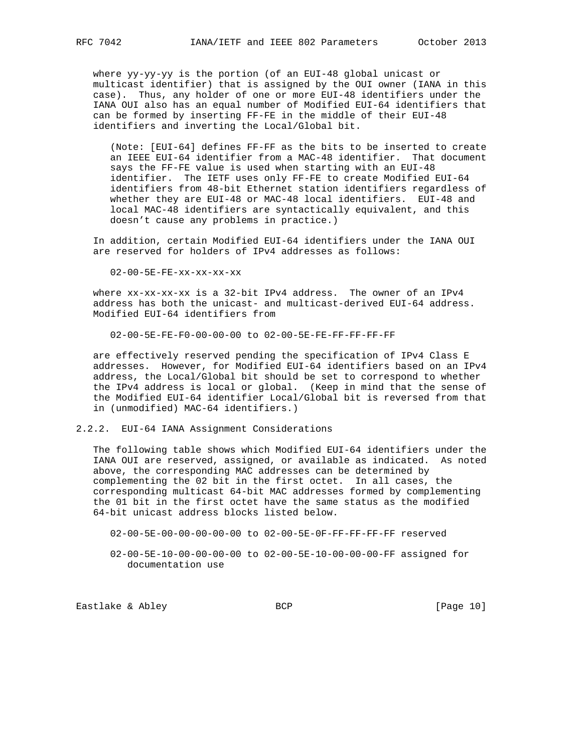where yy-yy-yy is the portion (of an EUI-48 global unicast or multicast identifier) that is assigned by the OUI owner (IANA in this case). Thus, any holder of one or more EUI-48 identifiers under the IANA OUI also has an equal number of Modified EUI-64 identifiers that can be formed by inserting FF-FE in the middle of their EUI-48 identifiers and inverting the Local/Global bit.

 (Note: [EUI-64] defines FF-FF as the bits to be inserted to create an IEEE EUI-64 identifier from a MAC-48 identifier. That document says the FF-FE value is used when starting with an EUI-48 identifier. The IETF uses only FF-FE to create Modified EUI-64 identifiers from 48-bit Ethernet station identifiers regardless of whether they are EUI-48 or MAC-48 local identifiers. EUI-48 and local MAC-48 identifiers are syntactically equivalent, and this doesn't cause any problems in practice.)

 In addition, certain Modified EUI-64 identifiers under the IANA OUI are reserved for holders of IPv4 addresses as follows:

02-00-5E-FE-xx-xx-xx-xx

 where xx-xx-xx-xx is a 32-bit IPv4 address. The owner of an IPv4 address has both the unicast- and multicast-derived EUI-64 address. Modified EUI-64 identifiers from

02-00-5E-FE-F0-00-00-00 to 02-00-5E-FE-FF-FF-FF-FF

 are effectively reserved pending the specification of IPv4 Class E addresses. However, for Modified EUI-64 identifiers based on an IPv4 address, the Local/Global bit should be set to correspond to whether the IPv4 address is local or global. (Keep in mind that the sense of the Modified EUI-64 identifier Local/Global bit is reversed from that in (unmodified) MAC-64 identifiers.)

#### 2.2.2. EUI-64 IANA Assignment Considerations

 The following table shows which Modified EUI-64 identifiers under the IANA OUI are reserved, assigned, or available as indicated. As noted above, the corresponding MAC addresses can be determined by complementing the 02 bit in the first octet. In all cases, the corresponding multicast 64-bit MAC addresses formed by complementing the 01 bit in the first octet have the same status as the modified 64-bit unicast address blocks listed below.

02-00-5E-00-00-00-00-00 to 02-00-5E-0F-FF-FF-FF-FF reserved

 02-00-5E-10-00-00-00-00 to 02-00-5E-10-00-00-00-FF assigned for documentation use

Eastlake & Abley BCP BCP [Page 10]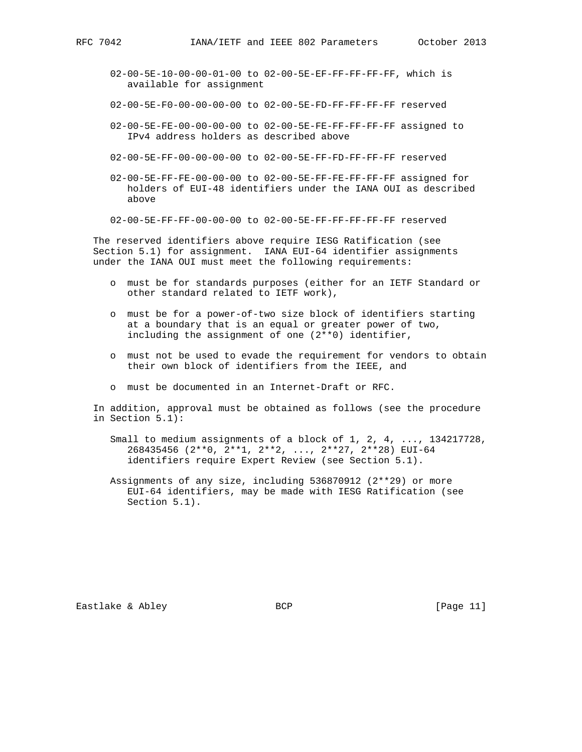- 02-00-5E-10-00-00-01-00 to 02-00-5E-EF-FF-FF-FF-FF, which is available for assignment
- 02-00-5E-F0-00-00-00-00 to 02-00-5E-FD-FF-FF-FF-FF reserved
- 02-00-5E-FE-00-00-00-00 to 02-00-5E-FE-FF-FF-FF-FF assigned to IPv4 address holders as described above
- 02-00-5E-FF-00-00-00-00 to 02-00-5E-FF-FD-FF-FF-FF reserved
- 02-00-5E-FF-FE-00-00-00 to 02-00-5E-FF-FE-FF-FF-FF assigned for holders of EUI-48 identifiers under the IANA OUI as described above
- 02-00-5E-FF-FF-00-00-00 to 02-00-5E-FF-FF-FF-FF-FF reserved

 The reserved identifiers above require IESG Ratification (see Section 5.1) for assignment. IANA EUI-64 identifier assignments under the IANA OUI must meet the following requirements:

- o must be for standards purposes (either for an IETF Standard or other standard related to IETF work),
- o must be for a power-of-two size block of identifiers starting at a boundary that is an equal or greater power of two, including the assignment of one (2\*\*0) identifier,
- o must not be used to evade the requirement for vendors to obtain their own block of identifiers from the IEEE, and
- o must be documented in an Internet-Draft or RFC.

 In addition, approval must be obtained as follows (see the procedure in Section 5.1):

- Small to medium assignments of a block of 1, 2, 4, ..., 134217728, 268435456 (2\*\*0, 2\*\*1, 2\*\*2, ..., 2\*\*27, 2\*\*28) EUI-64 identifiers require Expert Review (see Section 5.1).
- Assignments of any size, including 536870912 (2\*\*29) or more EUI-64 identifiers, may be made with IESG Ratification (see Section 5.1).

Eastlake & Abley BCP BCP [Page 11]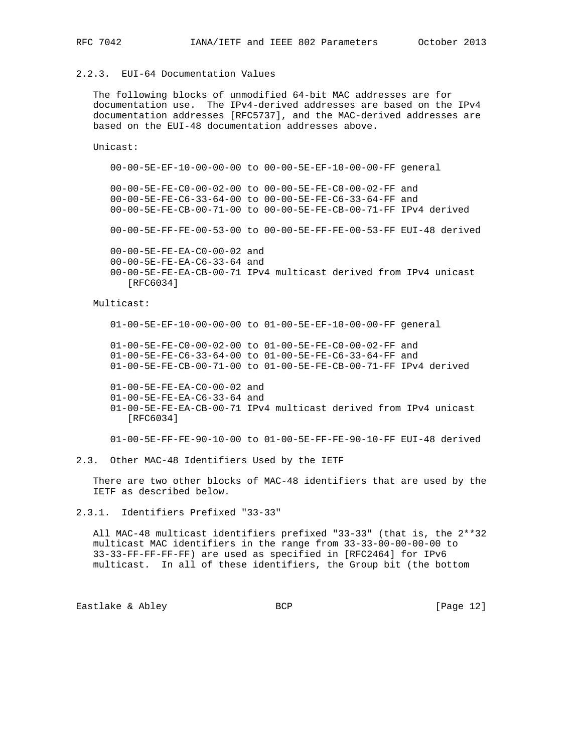## 2.2.3. EUI-64 Documentation Values

 The following blocks of unmodified 64-bit MAC addresses are for documentation use. The IPv4-derived addresses are based on the IPv4 documentation addresses [RFC5737], and the MAC-derived addresses are based on the EUI-48 documentation addresses above.

Unicast:

 00-00-5E-EF-10-00-00-00 to 00-00-5E-EF-10-00-00-FF general 00-00-5E-FE-C0-00-02-00 to 00-00-5E-FE-C0-00-02-FF and 00-00-5E-FE-C6-33-64-00 to 00-00-5E-FE-C6-33-64-FF and 00-00-5E-FE-CB-00-71-00 to 00-00-5E-FE-CB-00-71-FF IPv4 derived

00-00-5E-FF-FE-00-53-00 to 00-00-5E-FF-FE-00-53-FF EUI-48 derived

 00-00-5E-FE-EA-C0-00-02 and 00-00-5E-FE-EA-C6-33-64 and 00-00-5E-FE-EA-CB-00-71 IPv4 multicast derived from IPv4 unicast [RFC6034]

Multicast:

01-00-5E-EF-10-00-00-00 to 01-00-5E-EF-10-00-00-FF general

 01-00-5E-FE-C0-00-02-00 to 01-00-5E-FE-C0-00-02-FF and 01-00-5E-FE-C6-33-64-00 to 01-00-5E-FE-C6-33-64-FF and 01-00-5E-FE-CB-00-71-00 to 01-00-5E-FE-CB-00-71-FF IPv4 derived

 01-00-5E-FE-EA-C0-00-02 and 01-00-5E-FE-EA-C6-33-64 and 01-00-5E-FE-EA-CB-00-71 IPv4 multicast derived from IPv4 unicast [RFC6034]

01-00-5E-FF-FE-90-10-00 to 01-00-5E-FF-FE-90-10-FF EUI-48 derived

2.3. Other MAC-48 Identifiers Used by the IETF

 There are two other blocks of MAC-48 identifiers that are used by the IETF as described below.

2.3.1. Identifiers Prefixed "33-33"

 All MAC-48 multicast identifiers prefixed "33-33" (that is, the 2\*\*32 multicast MAC identifiers in the range from 33-33-00-00-00-00 to 33-33-FF-FF-FF-FF) are used as specified in [RFC2464] for IPv6 multicast. In all of these identifiers, the Group bit (the bottom

Eastlake & Abley BCP BCP [Page 12]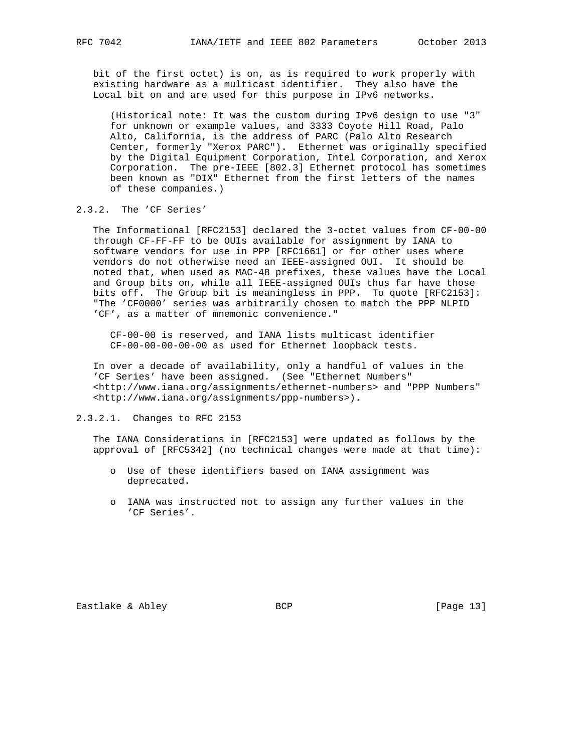bit of the first octet) is on, as is required to work properly with existing hardware as a multicast identifier. They also have the Local bit on and are used for this purpose in IPv6 networks.

 (Historical note: It was the custom during IPv6 design to use "3" for unknown or example values, and 3333 Coyote Hill Road, Palo Alto, California, is the address of PARC (Palo Alto Research Center, formerly "Xerox PARC"). Ethernet was originally specified by the Digital Equipment Corporation, Intel Corporation, and Xerox Corporation. The pre-IEEE [802.3] Ethernet protocol has sometimes been known as "DIX" Ethernet from the first letters of the names of these companies.)

## 2.3.2. The 'CF Series'

 The Informational [RFC2153] declared the 3-octet values from CF-00-00 through CF-FF-FF to be OUIs available for assignment by IANA to software vendors for use in PPP [RFC1661] or for other uses where vendors do not otherwise need an IEEE-assigned OUI. It should be noted that, when used as MAC-48 prefixes, these values have the Local and Group bits on, while all IEEE-assigned OUIs thus far have those bits off. The Group bit is meaningless in PPP. To quote [RFC2153]: "The 'CF0000' series was arbitrarily chosen to match the PPP NLPID 'CF', as a matter of mnemonic convenience."

 CF-00-00 is reserved, and IANA lists multicast identifier CF-00-00-00-00-00 as used for Ethernet loopback tests.

 In over a decade of availability, only a handful of values in the 'CF Series' have been assigned. (See "Ethernet Numbers" <http://www.iana.org/assignments/ethernet-numbers> and "PPP Numbers" <http://www.iana.org/assignments/ppp-numbers>).

2.3.2.1. Changes to RFC 2153

 The IANA Considerations in [RFC2153] were updated as follows by the approval of [RFC5342] (no technical changes were made at that time):

- o Use of these identifiers based on IANA assignment was deprecated.
- o IANA was instructed not to assign any further values in the 'CF Series'.

Eastlake & Abley BCP BCP [Page 13]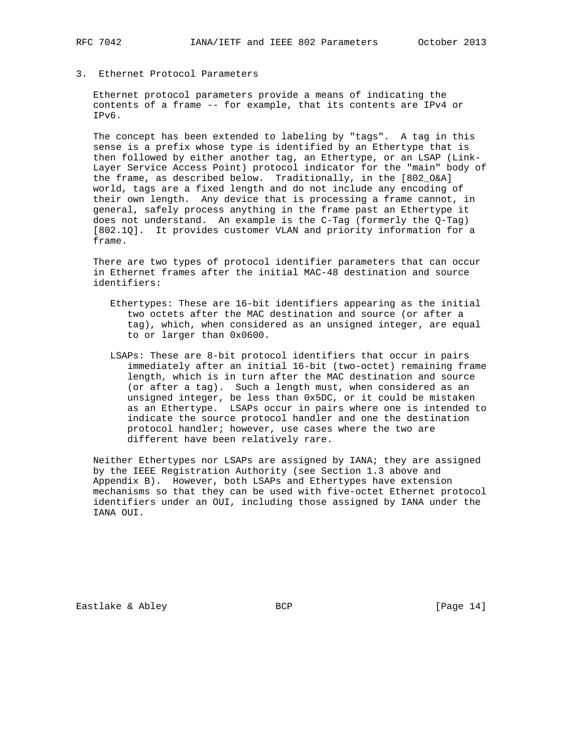3. Ethernet Protocol Parameters

 Ethernet protocol parameters provide a means of indicating the contents of a frame -- for example, that its contents are IPv4 or IPv6.

 The concept has been extended to labeling by "tags". A tag in this sense is a prefix whose type is identified by an Ethertype that is then followed by either another tag, an Ethertype, or an LSAP (Link- Layer Service Access Point) protocol indicator for the "main" body of the frame, as described below. Traditionally, in the [802\_O&A] world, tags are a fixed length and do not include any encoding of their own length. Any device that is processing a frame cannot, in general, safely process anything in the frame past an Ethertype it does not understand. An example is the C-Tag (formerly the Q-Tag) [802.1Q]. It provides customer VLAN and priority information for a frame.

 There are two types of protocol identifier parameters that can occur in Ethernet frames after the initial MAC-48 destination and source identifiers:

- Ethertypes: These are 16-bit identifiers appearing as the initial two octets after the MAC destination and source (or after a tag), which, when considered as an unsigned integer, are equal to or larger than 0x0600.
- LSAPs: These are 8-bit protocol identifiers that occur in pairs immediately after an initial 16-bit (two-octet) remaining frame length, which is in turn after the MAC destination and source (or after a tag). Such a length must, when considered as an unsigned integer, be less than 0x5DC, or it could be mistaken as an Ethertype. LSAPs occur in pairs where one is intended to indicate the source protocol handler and one the destination protocol handler; however, use cases where the two are different have been relatively rare.

 Neither Ethertypes nor LSAPs are assigned by IANA; they are assigned by the IEEE Registration Authority (see Section 1.3 above and Appendix B). However, both LSAPs and Ethertypes have extension mechanisms so that they can be used with five-octet Ethernet protocol identifiers under an OUI, including those assigned by IANA under the IANA OUI.

Eastlake & Abley **BCP** BCP **[Page 14]**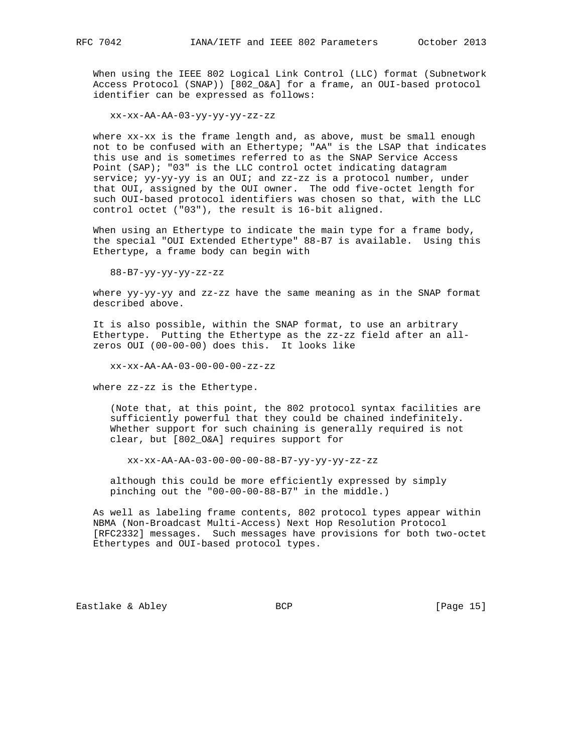When using the IEEE 802 Logical Link Control (LLC) format (Subnetwork Access Protocol (SNAP)) [802\_O&A] for a frame, an OUI-based protocol identifier can be expressed as follows:

xx-xx-AA-AA-03-yy-yy-yy-zz-zz

 where xx-xx is the frame length and, as above, must be small enough not to be confused with an Ethertype; "AA" is the LSAP that indicates this use and is sometimes referred to as the SNAP Service Access Point (SAP); "03" is the LLC control octet indicating datagram service; yy-yy-yy is an OUI; and zz-zz is a protocol number, under that OUI, assigned by the OUI owner. The odd five-octet length for such OUI-based protocol identifiers was chosen so that, with the LLC control octet ("03"), the result is 16-bit aligned.

 When using an Ethertype to indicate the main type for a frame body, the special "OUI Extended Ethertype" 88-B7 is available. Using this Ethertype, a frame body can begin with

88-B7-yy-yy-yy-zz-zz

where yy-yy-yy and zz-zz have the same meaning as in the SNAP format described above.

 It is also possible, within the SNAP format, to use an arbitrary Ethertype. Putting the Ethertype as the zz-zz field after an all zeros OUI (00-00-00) does this. It looks like

xx-xx-AA-AA-03-00-00-00-zz-zz

where zz-zz is the Ethertype.

 (Note that, at this point, the 802 protocol syntax facilities are sufficiently powerful that they could be chained indefinitely. Whether support for such chaining is generally required is not clear, but [802\_O&A] requires support for

xx-xx-AA-AA-03-00-00-00-88-B7-yy-yy-yy-zz-zz

 although this could be more efficiently expressed by simply pinching out the "00-00-00-88-B7" in the middle.)

 As well as labeling frame contents, 802 protocol types appear within NBMA (Non-Broadcast Multi-Access) Next Hop Resolution Protocol [RFC2332] messages. Such messages have provisions for both two-octet Ethertypes and OUI-based protocol types.

Eastlake & Abley BCP BCP [Page 15]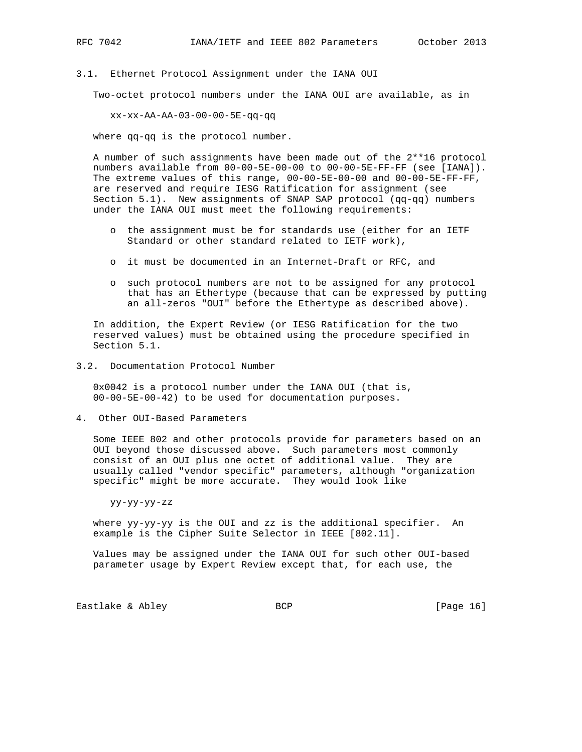3.1. Ethernet Protocol Assignment under the IANA OUI

Two-octet protocol numbers under the IANA OUI are available, as in

xx-xx-AA-AA-03-00-00-5E-qq-qq

where qq-qq is the protocol number.

 A number of such assignments have been made out of the 2\*\*16 protocol numbers available from 00-00-5E-00-00 to 00-00-5E-FF-FF (see [IANA]). The extreme values of this range, 00-00-5E-00-00 and 00-00-5E-FF-FF, are reserved and require IESG Ratification for assignment (see Section 5.1). New assignments of SNAP SAP protocol (qq-qq) numbers under the IANA OUI must meet the following requirements:

- o the assignment must be for standards use (either for an IETF Standard or other standard related to IETF work),
- o it must be documented in an Internet-Draft or RFC, and
- o such protocol numbers are not to be assigned for any protocol that has an Ethertype (because that can be expressed by putting an all-zeros "OUI" before the Ethertype as described above).

 In addition, the Expert Review (or IESG Ratification for the two reserved values) must be obtained using the procedure specified in Section 5.1.

3.2. Documentation Protocol Number

 0x0042 is a protocol number under the IANA OUI (that is, 00-00-5E-00-42) to be used for documentation purposes.

4. Other OUI-Based Parameters

 Some IEEE 802 and other protocols provide for parameters based on an OUI beyond those discussed above. Such parameters most commonly consist of an OUI plus one octet of additional value. They are usually called "vendor specific" parameters, although "organization specific" might be more accurate. They would look like

yy-yy-yy-zz

 where yy-yy-yy is the OUI and zz is the additional specifier. An example is the Cipher Suite Selector in IEEE [802.11].

 Values may be assigned under the IANA OUI for such other OUI-based parameter usage by Expert Review except that, for each use, the

Eastlake & Abley BCP BCP [Page 16]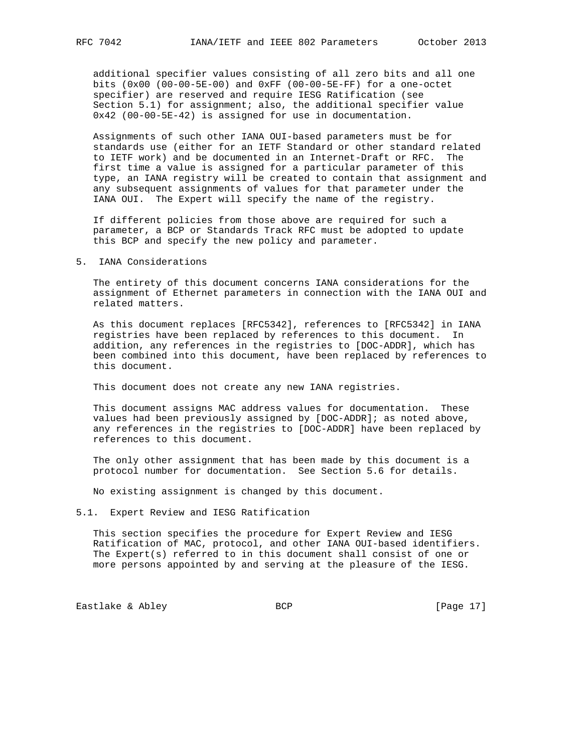additional specifier values consisting of all zero bits and all one bits (0x00 (00-00-5E-00) and 0xFF (00-00-5E-FF) for a one-octet specifier) are reserved and require IESG Ratification (see Section 5.1) for assignment; also, the additional specifier value 0x42 (00-00-5E-42) is assigned for use in documentation.

 Assignments of such other IANA OUI-based parameters must be for standards use (either for an IETF Standard or other standard related to IETF work) and be documented in an Internet-Draft or RFC. The first time a value is assigned for a particular parameter of this type, an IANA registry will be created to contain that assignment and any subsequent assignments of values for that parameter under the IANA OUI. The Expert will specify the name of the registry.

 If different policies from those above are required for such a parameter, a BCP or Standards Track RFC must be adopted to update this BCP and specify the new policy and parameter.

#### 5. IANA Considerations

 The entirety of this document concerns IANA considerations for the assignment of Ethernet parameters in connection with the IANA OUI and related matters.

 As this document replaces [RFC5342], references to [RFC5342] in IANA registries have been replaced by references to this document. In addition, any references in the registries to [DOC-ADDR], which has been combined into this document, have been replaced by references to this document.

This document does not create any new IANA registries.

 This document assigns MAC address values for documentation. These values had been previously assigned by [DOC-ADDR]; as noted above, any references in the registries to [DOC-ADDR] have been replaced by references to this document.

 The only other assignment that has been made by this document is a protocol number for documentation. See Section 5.6 for details.

No existing assignment is changed by this document.

### 5.1. Expert Review and IESG Ratification

 This section specifies the procedure for Expert Review and IESG Ratification of MAC, protocol, and other IANA OUI-based identifiers. The Expert(s) referred to in this document shall consist of one or more persons appointed by and serving at the pleasure of the IESG.

Eastlake & Abley BCP BCP [Page 17]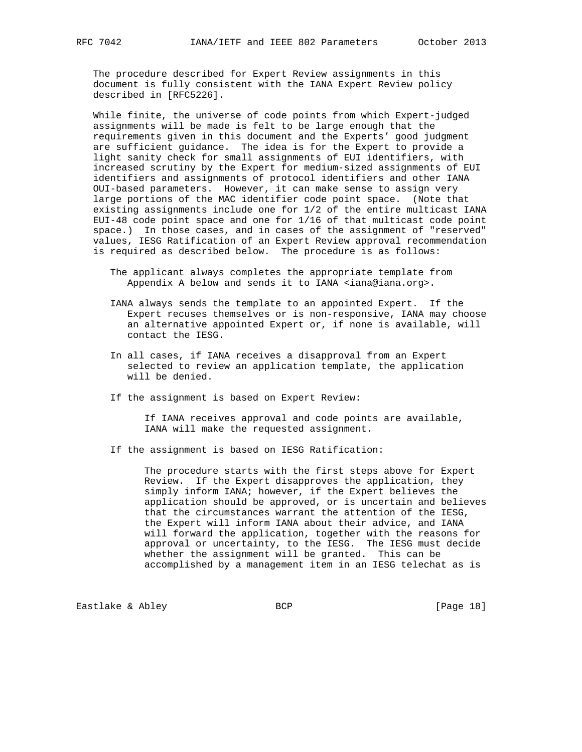The procedure described for Expert Review assignments in this document is fully consistent with the IANA Expert Review policy described in [RFC5226].

 While finite, the universe of code points from which Expert-judged assignments will be made is felt to be large enough that the requirements given in this document and the Experts' good judgment are sufficient guidance. The idea is for the Expert to provide a light sanity check for small assignments of EUI identifiers, with increased scrutiny by the Expert for medium-sized assignments of EUI identifiers and assignments of protocol identifiers and other IANA OUI-based parameters. However, it can make sense to assign very large portions of the MAC identifier code point space. (Note that existing assignments include one for 1/2 of the entire multicast IANA EUI-48 code point space and one for 1/16 of that multicast code point space.) In those cases, and in cases of the assignment of "reserved" values, IESG Ratification of an Expert Review approval recommendation is required as described below. The procedure is as follows:

- The applicant always completes the appropriate template from Appendix A below and sends it to IANA <iana@iana.org>.
- IANA always sends the template to an appointed Expert. If the Expert recuses themselves or is non-responsive, IANA may choose an alternative appointed Expert or, if none is available, will contact the IESG.
- In all cases, if IANA receives a disapproval from an Expert selected to review an application template, the application will be denied.
- If the assignment is based on Expert Review:

 If IANA receives approval and code points are available, IANA will make the requested assignment.

If the assignment is based on IESG Ratification:

 The procedure starts with the first steps above for Expert Review. If the Expert disapproves the application, they simply inform IANA; however, if the Expert believes the application should be approved, or is uncertain and believes that the circumstances warrant the attention of the IESG, the Expert will inform IANA about their advice, and IANA will forward the application, together with the reasons for approval or uncertainty, to the IESG. The IESG must decide whether the assignment will be granted. This can be accomplished by a management item in an IESG telechat as is

Eastlake & Abley BCP BCP [Page 18]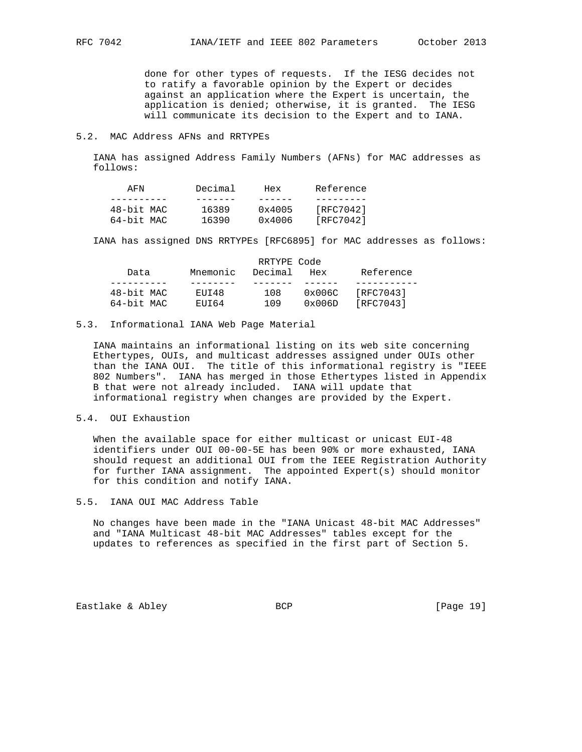done for other types of requests. If the IESG decides not to ratify a favorable opinion by the Expert or decides against an application where the Expert is uncertain, the application is denied; otherwise, it is granted. The IESG will communicate its decision to the Expert and to IANA.

#### 5.2. MAC Address AFNs and RRTYPEs

 IANA has assigned Address Family Numbers (AFNs) for MAC addresses as follows:

| AFN        | Decimal | Hex    | Reference |
|------------|---------|--------|-----------|
|            |         |        |           |
| 48-bit MAC | 16389   | 0x4005 | [RFC7042] |
| 64-bit MAC | 16390   | 0x4006 | [RFC7042] |

IANA has assigned DNS RRTYPEs [RFC6895] for MAC addresses as follows:

|            | RRTYPE Code |         |                 |           |  |  |
|------------|-------------|---------|-----------------|-----------|--|--|
| Data       | Mnemonic    | Decimal | Hex             | Reference |  |  |
|            |             |         |                 |           |  |  |
| 48-bit MAC | EUI48       | 108     | $0 \times 006C$ | [RFC7043] |  |  |
| 64-bit MAC | FIIT 64     | 109     | 0x006D          | [RFC7043] |  |  |

#### 5.3. Informational IANA Web Page Material

 IANA maintains an informational listing on its web site concerning Ethertypes, OUIs, and multicast addresses assigned under OUIs other than the IANA OUI. The title of this informational registry is "IEEE 802 Numbers". IANA has merged in those Ethertypes listed in Appendix B that were not already included. IANA will update that informational registry when changes are provided by the Expert.

### 5.4. OUI Exhaustion

When the available space for either multicast or unicast EUI-48 identifiers under OUI 00-00-5E has been 90% or more exhausted, IANA should request an additional OUI from the IEEE Registration Authority for further IANA assignment. The appointed Expert(s) should monitor for this condition and notify IANA.

### 5.5. IANA OUI MAC Address Table

 No changes have been made in the "IANA Unicast 48-bit MAC Addresses" and "IANA Multicast 48-bit MAC Addresses" tables except for the updates to references as specified in the first part of Section 5.

Eastlake & Abley **BCP** BCP **[Page 19]**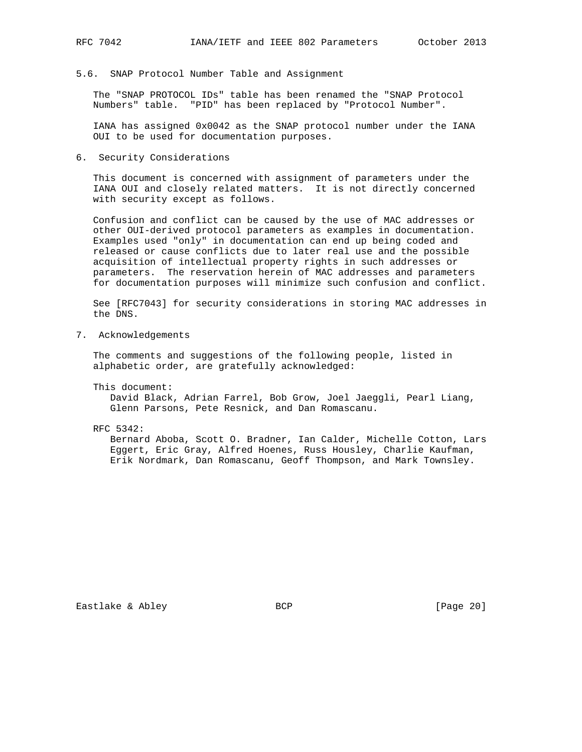5.6. SNAP Protocol Number Table and Assignment

 The "SNAP PROTOCOL IDs" table has been renamed the "SNAP Protocol Numbers" table. "PID" has been replaced by "Protocol Number".

 IANA has assigned 0x0042 as the SNAP protocol number under the IANA OUI to be used for documentation purposes.

6. Security Considerations

 This document is concerned with assignment of parameters under the IANA OUI and closely related matters. It is not directly concerned with security except as follows.

 Confusion and conflict can be caused by the use of MAC addresses or other OUI-derived protocol parameters as examples in documentation. Examples used "only" in documentation can end up being coded and released or cause conflicts due to later real use and the possible acquisition of intellectual property rights in such addresses or parameters. The reservation herein of MAC addresses and parameters for documentation purposes will minimize such confusion and conflict.

 See [RFC7043] for security considerations in storing MAC addresses in the DNS.

7. Acknowledgements

 The comments and suggestions of the following people, listed in alphabetic order, are gratefully acknowledged:

This document:

 David Black, Adrian Farrel, Bob Grow, Joel Jaeggli, Pearl Liang, Glenn Parsons, Pete Resnick, and Dan Romascanu.

RFC 5342:

 Bernard Aboba, Scott O. Bradner, Ian Calder, Michelle Cotton, Lars Eggert, Eric Gray, Alfred Hoenes, Russ Housley, Charlie Kaufman, Erik Nordmark, Dan Romascanu, Geoff Thompson, and Mark Townsley.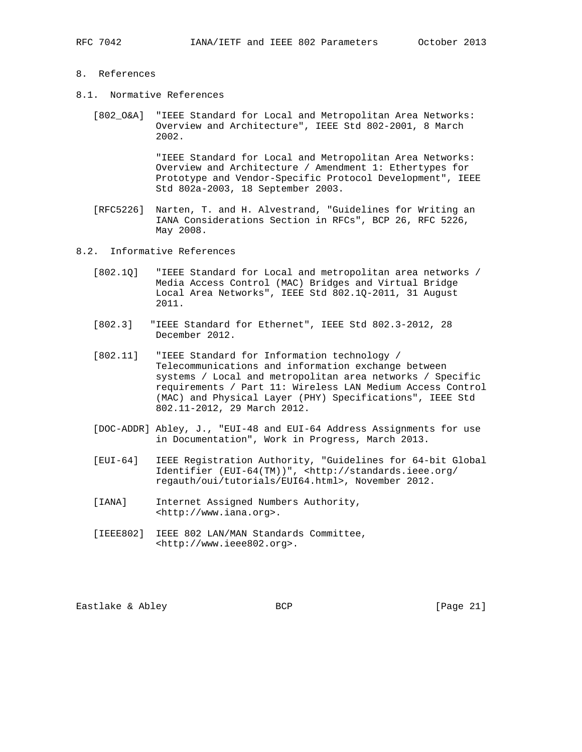## 8. References

- 8.1. Normative References
	- [802\_O&A] "IEEE Standard for Local and Metropolitan Area Networks: Overview and Architecture", IEEE Std 802-2001, 8 March 2002.

 "IEEE Standard for Local and Metropolitan Area Networks: Overview and Architecture / Amendment 1: Ethertypes for Prototype and Vendor-Specific Protocol Development", IEEE Std 802a-2003, 18 September 2003.

- [RFC5226] Narten, T. and H. Alvestrand, "Guidelines for Writing an IANA Considerations Section in RFCs", BCP 26, RFC 5226, May 2008.
- 8.2. Informative References
	- [802.1Q] "IEEE Standard for Local and metropolitan area networks / Media Access Control (MAC) Bridges and Virtual Bridge Local Area Networks", IEEE Std 802.1Q-2011, 31 August 2011.
	- [802.3] "IEEE Standard for Ethernet", IEEE Std 802.3-2012, 28 December 2012.
	- [802.11] "IEEE Standard for Information technology / Telecommunications and information exchange between systems / Local and metropolitan area networks / Specific requirements / Part 11: Wireless LAN Medium Access Control (MAC) and Physical Layer (PHY) Specifications", IEEE Std 802.11-2012, 29 March 2012.
	- [DOC-ADDR] Abley, J., "EUI-48 and EUI-64 Address Assignments for use in Documentation", Work in Progress, March 2013.
	- [EUI-64] IEEE Registration Authority, "Guidelines for 64-bit Global Identifier (EUI-64(TM))", <http://standards.ieee.org/ regauth/oui/tutorials/EUI64.html>, November 2012.
	- [IANA] Internet Assigned Numbers Authority, <http://www.iana.org>.
	- [IEEE802] IEEE 802 LAN/MAN Standards Committee, <http://www.ieee802.org>.

Eastlake & Abley BCP BCP [Page 21]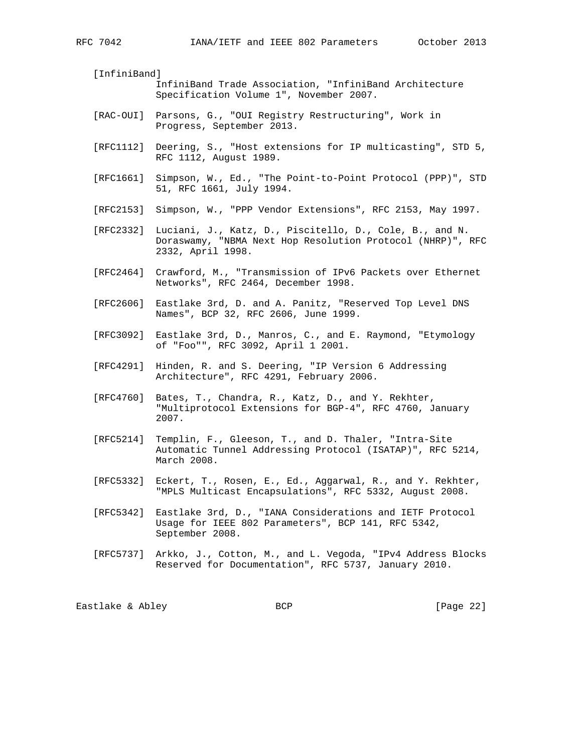[InfiniBand]

- InfiniBand Trade Association, "InfiniBand Architecture Specification Volume 1", November 2007.
- [RAC-OUI] Parsons, G., "OUI Registry Restructuring", Work in Progress, September 2013.
- [RFC1112] Deering, S., "Host extensions for IP multicasting", STD 5, RFC 1112, August 1989.
- [RFC1661] Simpson, W., Ed., "The Point-to-Point Protocol (PPP)", STD 51, RFC 1661, July 1994.
- [RFC2153] Simpson, W., "PPP Vendor Extensions", RFC 2153, May 1997.
- [RFC2332] Luciani, J., Katz, D., Piscitello, D., Cole, B., and N. Doraswamy, "NBMA Next Hop Resolution Protocol (NHRP)", RFC 2332, April 1998.
- [RFC2464] Crawford, M., "Transmission of IPv6 Packets over Ethernet Networks", RFC 2464, December 1998.
- [RFC2606] Eastlake 3rd, D. and A. Panitz, "Reserved Top Level DNS Names", BCP 32, RFC 2606, June 1999.
- [RFC3092] Eastlake 3rd, D., Manros, C., and E. Raymond, "Etymology of "Foo"", RFC 3092, April 1 2001.
- [RFC4291] Hinden, R. and S. Deering, "IP Version 6 Addressing Architecture", RFC 4291, February 2006.
- [RFC4760] Bates, T., Chandra, R., Katz, D., and Y. Rekhter, "Multiprotocol Extensions for BGP-4", RFC 4760, January 2007.
- [RFC5214] Templin, F., Gleeson, T., and D. Thaler, "Intra-Site Automatic Tunnel Addressing Protocol (ISATAP)", RFC 5214, March 2008.
- [RFC5332] Eckert, T., Rosen, E., Ed., Aggarwal, R., and Y. Rekhter, "MPLS Multicast Encapsulations", RFC 5332, August 2008.
- [RFC5342] Eastlake 3rd, D., "IANA Considerations and IETF Protocol Usage for IEEE 802 Parameters", BCP 141, RFC 5342, September 2008.
- [RFC5737] Arkko, J., Cotton, M., and L. Vegoda, "IPv4 Address Blocks Reserved for Documentation", RFC 5737, January 2010.

Eastlake & Abley **BCP** BCP [Page 22]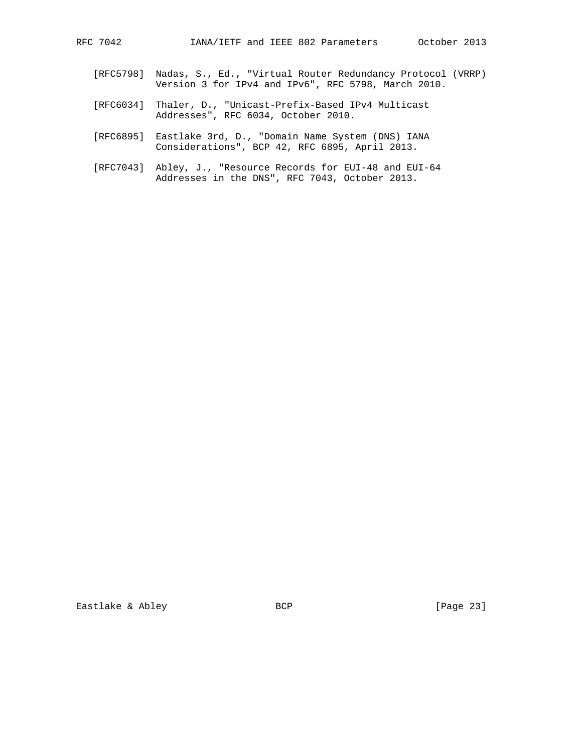- [RFC5798] Nadas, S., Ed., "Virtual Router Redundancy Protocol (VRRP) Version 3 for IPv4 and IPv6", RFC 5798, March 2010.
- [RFC6034] Thaler, D., "Unicast-Prefix-Based IPv4 Multicast Addresses", RFC 6034, October 2010.
- [RFC6895] Eastlake 3rd, D., "Domain Name System (DNS) IANA Considerations", BCP 42, RFC 6895, April 2013.
- [RFC7043] Abley, J., "Resource Records for EUI-48 and EUI-64 Addresses in the DNS", RFC 7043, October 2013.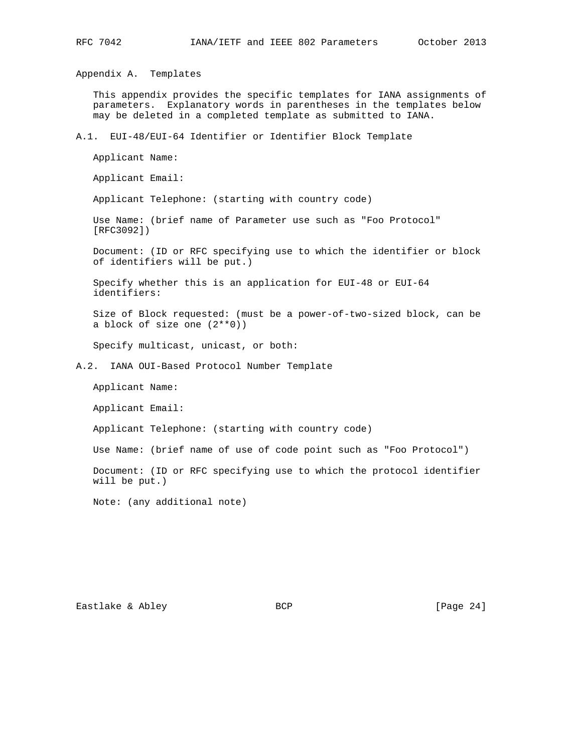Appendix A. Templates

 This appendix provides the specific templates for IANA assignments of parameters. Explanatory words in parentheses in the templates below may be deleted in a completed template as submitted to IANA.

### A.1. EUI-48/EUI-64 Identifier or Identifier Block Template

Applicant Name:

Applicant Email:

Applicant Telephone: (starting with country code)

 Use Name: (brief name of Parameter use such as "Foo Protocol" [RFC3092])

 Document: (ID or RFC specifying use to which the identifier or block of identifiers will be put.)

 Specify whether this is an application for EUI-48 or EUI-64 identifiers:

 Size of Block requested: (must be a power-of-two-sized block, can be a block of size one (2\*\*0))

Specify multicast, unicast, or both:

A.2. IANA OUI-Based Protocol Number Template

Applicant Name:

Applicant Email:

Applicant Telephone: (starting with country code)

Use Name: (brief name of use of code point such as "Foo Protocol")

 Document: (ID or RFC specifying use to which the protocol identifier will be put.)

Note: (any additional note)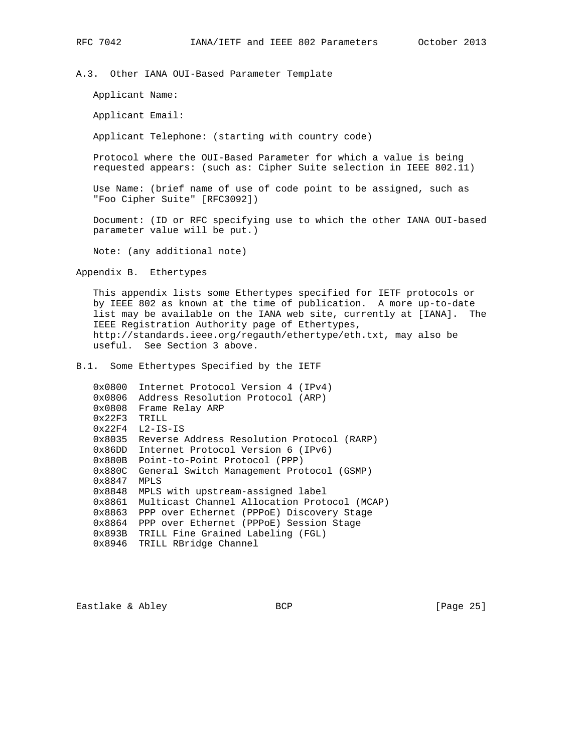A.3. Other IANA OUI-Based Parameter Template

Applicant Name:

Applicant Email:

Applicant Telephone: (starting with country code)

 Protocol where the OUI-Based Parameter for which a value is being requested appears: (such as: Cipher Suite selection in IEEE 802.11)

 Use Name: (brief name of use of code point to be assigned, such as "Foo Cipher Suite" [RFC3092])

 Document: (ID or RFC specifying use to which the other IANA OUI-based parameter value will be put.)

Note: (any additional note)

Appendix B. Ethertypes

 This appendix lists some Ethertypes specified for IETF protocols or by IEEE 802 as known at the time of publication. A more up-to-date list may be available on the IANA web site, currently at [IANA]. The IEEE Registration Authority page of Ethertypes, http://standards.ieee.org/regauth/ethertype/eth.txt, may also be useful. See Section 3 above.

B.1. Some Ethertypes Specified by the IETF

 0x0800 Internet Protocol Version 4 (IPv4) 0x0806 Address Resolution Protocol (ARP) 0x0808 Frame Relay ARP 0x22F3 TRILL 0x22F4 L2-IS-IS 0x8035 Reverse Address Resolution Protocol (RARP) 0x86DD Internet Protocol Version 6 (IPv6) 0x880B Point-to-Point Protocol (PPP) 0x880C General Switch Management Protocol (GSMP) 0x8847 MPLS 0x8848 MPLS with upstream-assigned label 0x8861 Multicast Channel Allocation Protocol (MCAP) 0x8863 PPP over Ethernet (PPPoE) Discovery Stage 0x8864 PPP over Ethernet (PPPoE) Session Stage 0x893B TRILL Fine Grained Labeling (FGL) 0x8946 TRILL RBridge Channel

Eastlake & Abley BCP BCP [Page 25]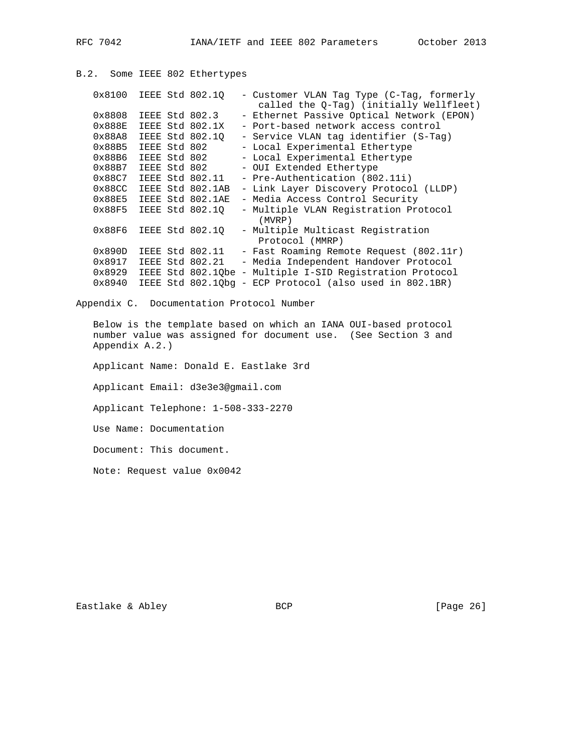```
B.2. Some IEEE 802 Ethertypes
   0x8100 IEEE Std 802.1Q - Customer VLAN Tag Type (C-Tag, formerly
 called the Q-Tag) (initially Wellfleet)
 0x8808 IEEE Std 802.3 - Ethernet Passive Optical Network (EPON)
 0x888E IEEE Std 802.1X - Port-based network access control
   0x88A8 IEEE Std 802.1Q - Service VLAN tag identifier (S-Tag)
0x88B5 IEEE Std 802 - Local Experimental Ethertype
0x88B6 IEEE Std 802 - Local Experimental Ethertype
0x88B7 IEEE Std 802 - OUI Extended Ethertype
 0x88C7 IEEE Std 802.11 - Pre-Authentication (802.11i)
   0x88CC IEEE Std 802.1AB - Link Layer Discovery Protocol (LLDP)
 0x88E5 IEEE Std 802.1AE - Media Access Control Security
 0x88F5 IEEE Std 802.1Q - Multiple VLAN Registration Protocol
                              (MVRP)
  0x88F6 IEEE Std 802.1Q - Multiple Multicast Registration
                             Protocol (MMRP)
  0x890D IEEE Std 802.11 - Fast Roaming Remote Request (802.11r)
   0x8917 IEEE Std 802.21 - Media Independent Handover Protocol
   0x8929 IEEE Std 802.1Qbe - Multiple I-SID Registration Protocol
   0x8940 IEEE Std 802.1Qbg - ECP Protocol (also used in 802.1BR)
```
Appendix C. Documentation Protocol Number

 Below is the template based on which an IANA OUI-based protocol number value was assigned for document use. (See Section 3 and Appendix A.2.)

Applicant Name: Donald E. Eastlake 3rd

Applicant Email: d3e3e3@gmail.com

Applicant Telephone: 1-508-333-2270

Use Name: Documentation

Document: This document.

Note: Request value 0x0042